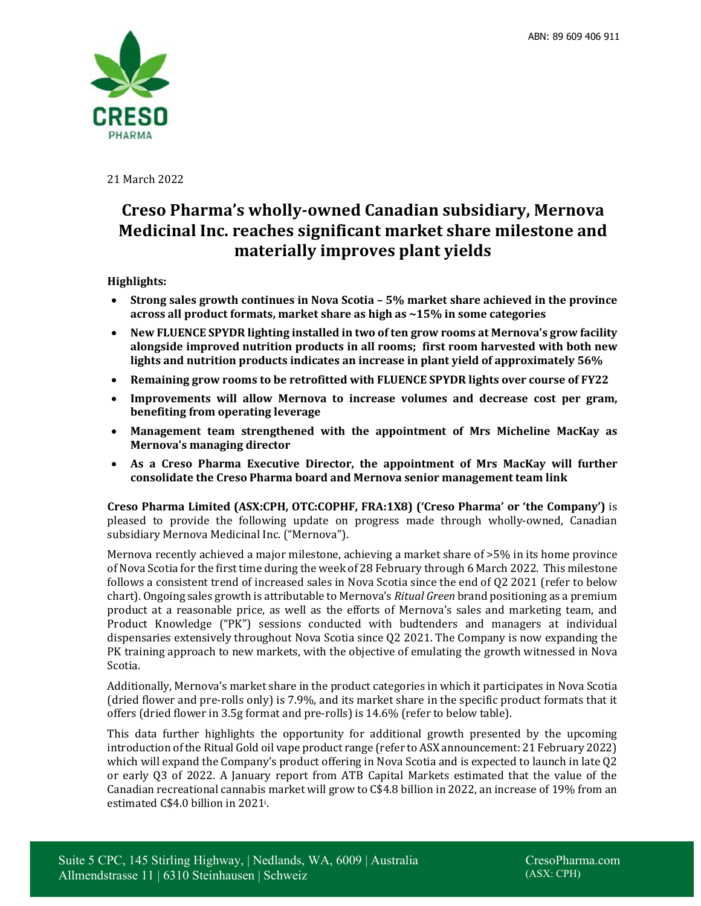

21 March 2022

# **Creso Pharma's wholly-owned Canadian subsidiary, Mernova Medicinal Inc. reaches significant market share milestone and materially improves plant yields**

# **Highlights:**

- **Strong sales growth continues in Nova Scotia 5% market share achieved in the province across all product formats, market share as high as ~15% in some categories**
- **New FLUENCE SPYDR lighting installed in two of ten grow rooms at Mernova's grow facility alongside improved nutrition products in all rooms; first room harvested with both new lights and nutrition products indicates an increase in plant yield of approximately 56%**
- **Remaining grow rooms to be retrofitted with FLUENCE SPYDR lights over course of FY22**
- **Improvements will allow Mernova to increase volumes and decrease cost per gram, benefiting from operating leverage**
- **Management team strengthened with the appointment of Mrs Micheline MacKay as Mernova's managing director**
- **As a Creso Pharma Executive Director, the appointment of Mrs MacKay will further consolidate the Creso Pharma board and Mernova senior management team link**

**Creso Pharma Limited (ASX:CPH, OTC:COPHF, FRA:1X8) ('Creso Pharma' or 'the Company')** is pleased to provide the following update on progress made through wholly-owned, Canadian subsidiary Mernova Medicinal Inc. ("Mernova").

Mernova recently achieved a major milestone, achieving a market share of >5% in its home province of Nova Scotia for the first time during the week of 28 February through 6 March 2022. This milestone follows a consistent trend of increased sales in Nova Scotia since the end of Q2 2021 (refer to below chart). Ongoing sales growth is attributable to Mernova's *Ritual Green* brand positioning as a premium product at a reasonable price, as well as the efforts of Mernova's sales and marketing team, and Product Knowledge ("PK") sessions conducted with budtenders and managers at individual dispensaries extensively throughout Nova Scotia since Q2 2021. The Company is now expanding the PK training approach to new markets, with the objective of emulating the growth witnessed in Nova Scotia.

Additionally, Mernova's market share in the product categories in which it participates in Nova Scotia (dried flower and pre-rolls only) is 7.9%, and its market share in the specific product formats that it offers (dried flower in 3.5g format and pre-rolls) is 14.6% (refer to below table).

This data further highlights the opportunity for additional growth presented by the upcoming introduction of the Ritual Gold oil vape product range (refer to ASX announcement: 21 February 2022) which will expand the Company's product offering in Nova Scotia and is expected to launch in late Q2 or early Q3 of 2022. A January report from ATB Capital Markets estimated that the value of the Canadian recreational cannabis market will grow to C\$4.8 billion in 2022, an increase of 19% from an estimated C\$4.0 billion in 2021<sup>i</sup> .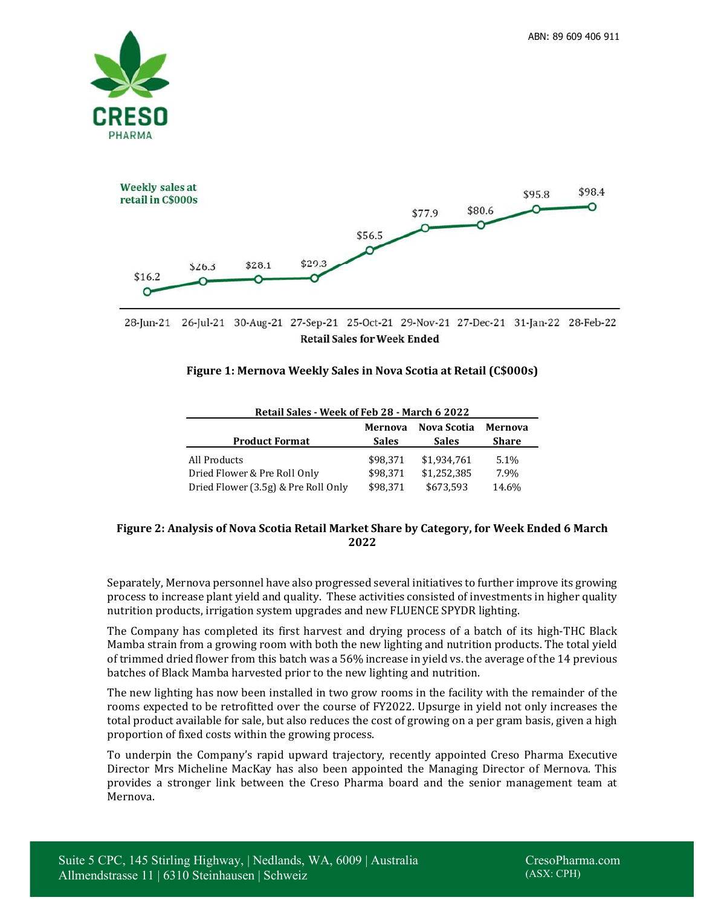



28-Jun-21 26-Jul-21 30-Aug-21 27-Sep-21 25-Oct-21 29-Nov-21 27-Dec-21 31-Jan-22 28-Feb-22 **Retail Sales for Week Ended** 

### **Figure 1: Mernova Weekly Sales in Nova Scotia at Retail (C\$000s)**

| Retall Jails - Week VI Feb 40 - Martii 0 4044 |              |                    |         |
|-----------------------------------------------|--------------|--------------------|---------|
|                                               | Mernova      | <b>Nova Scotia</b> | Mernova |
| <b>Product Format</b>                         | <b>Sales</b> | <b>Sales</b>       | Share   |
| All Products                                  | \$98.371     | \$1,934.761        | 5.1%    |
| Dried Flower & Pre Roll Only                  | \$98.371     | \$1.252.385        | 7.9%    |
| Dried Flower (3.5g) & Pre Roll Only           | \$98.371     | \$673,593          | 14.6%   |

#### **Retail Sales - Week of Feb 28 - March 6 2022**

### **Figure 2: Analysis of Nova Scotia Retail Market Share by Category, for Week Ended 6 March 2022**

Separately, Mernova personnel have also progressed several initiatives to further improve its growing process to increase plant yield and quality. These activities consisted of investments in higher quality nutrition products, irrigation system upgrades and new FLUENCE SPYDR lighting.

The Company has completed its first harvest and drying process of a batch of its high-THC Black Mamba strain from a growing room with both the new lighting and nutrition products. The total yield of trimmed dried flower from this batch was a 56% increase in yield vs. the average of the 14 previous batches of Black Mamba harvested prior to the new lighting and nutrition.

The new lighting has now been installed in two grow rooms in the facility with the remainder of the rooms expected to be retrofitted over the course of FY2022. Upsurge in yield not only increases the total product available for sale, but also reduces the cost of growing on a per gram basis, given a high proportion of fixed costs within the growing process.

To underpin the Company's rapid upward trajectory, recently appointed Creso Pharma Executive Director Mrs Micheline MacKay has also been appointed the Managing Director of Mernova. This provides a stronger link between the Creso Pharma board and the senior management team at Mernova.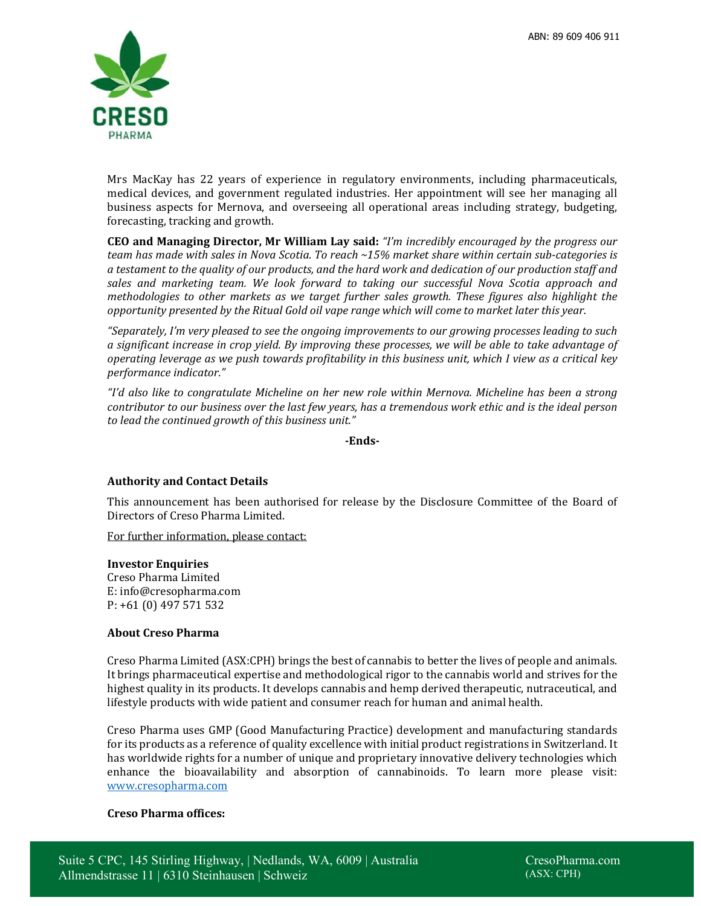

Mrs MacKay has 22 years of experience in regulatory environments, including pharmaceuticals, medical devices, and government regulated industries. Her appointment will see her managing all business aspects for Mernova, and overseeing all operational areas including strategy, budgeting, forecasting, tracking and growth.

**CEO and Managing Director, Mr William Lay said:** *"I'm incredibly encouraged by the progress our team has made with sales in Nova Scotia. To reach ~15% market share within certain sub-categories is a testament to the quality of our products, and the hard work and dedication of our production staff and sales and marketing team. We look forward to taking our successful Nova Scotia approach and methodologies to other markets as we target further sales growth. These figures also highlight the opportunity presented by the Ritual Gold oil vape range which will come to market later this year.* 

*"Separately, I'm very pleased to see the ongoing improvements to our growing processes leading to such a significant increase in crop yield. By improving these processes, we will be able to take advantage of operating leverage as we push towards profitability in this business unit, which I view as a critical key performance indicator."* 

*"I'd also like to congratulate Micheline on her new role within Mernova. Micheline has been a strong contributor to our business over the last few years, has a tremendous work ethic and is the ideal person to lead the continued growth of this business unit."* 

**-Ends-**

# **Authority and Contact Details**

This announcement has been authorised for release by the Disclosure Committee of the Board of Directors of Creso Pharma Limited.

For further information, please contact:

# **Investor Enquiries**

Creso Pharma Limited E: info@cresopharma.com P: +61 (0) 497 571 532

# **About Creso Pharma**

Creso Pharma Limited (ASX:CPH) brings the best of cannabis to better the lives of people and animals. It brings pharmaceutical expertise and methodological rigor to the cannabis world and strives for the highest quality in its products. It develops cannabis and hemp derived therapeutic, nutraceutical, and lifestyle products with wide patient and consumer reach for human and animal health.

Creso Pharma uses GMP (Good Manufacturing Practice) development and manufacturing standards for its products as a reference of quality excellence with initial product registrations in Switzerland. It has worldwide rights for a number of unique and proprietary innovative delivery technologies which enhance the bioavailability and absorption of cannabinoids. To learn more please visit: www.cresopharma.com

#### **Creso Pharma offices:**